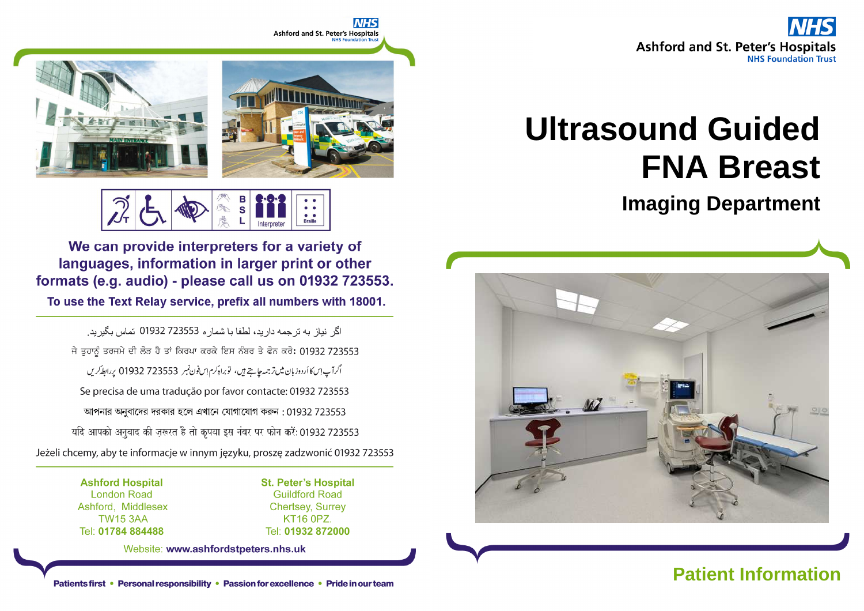



# **Braille**

We can provide interpreters for a variety of languages, information in larger print or other formats (e.g. audio) - please call us on 01932 723553.

To use the Text Relay service, prefix all numbers with 18001.

اگر نباز به تر جمه دار بد، لطفا با شمار ه 723553 01932 تماس بگیر بد ِ ਜੇ ਤੁਹਾਨੂੰ ਤਰਜਮੇ ਦੀ ਲੋੜ ਹੈ ਤਾਂ ਕਿਰਪਾ ਕਰਕੇ ਇਸ ਨੰਬਰ ਤੇ ਫੋਨ ਕਰੋ: 01932 723553 اگرآپ اِسكاأردوزبان ميںتر جمہ جايتے ہيں، توبراہ كرم اِس فون نمبر 723553 01932 پر ابط كريں Se precisa de uma tradução por favor contacte: 01932 723553 আপনার অনুবাদের দরকার হলে এখানে যোগাযোগ করুন : 01932 723553 यदि आपको अनुवाद की ज़रूरत है तो कृपया इस नंबर पर फोन करें: 01932 723553 Jeżeli chcemy, aby te informacje w innym języku, proszę zadzwonić 01932 723553

> **Ashford Hospital London Road** Ashford, Middlesex **TW15 3AA** Tel: 01784 884488

**St. Peter's Hospital Guildford Road Chertsey, Surrey** KT16 0PZ. Tel: 01932 872000

Website: www.ashfordstpeters.nhs.uk

## **Ultrasound Guided FNA Breast**

**Imaging Department**



Patients first • Personal responsibility • Passion for excellence • Pride in our team **Patient Information**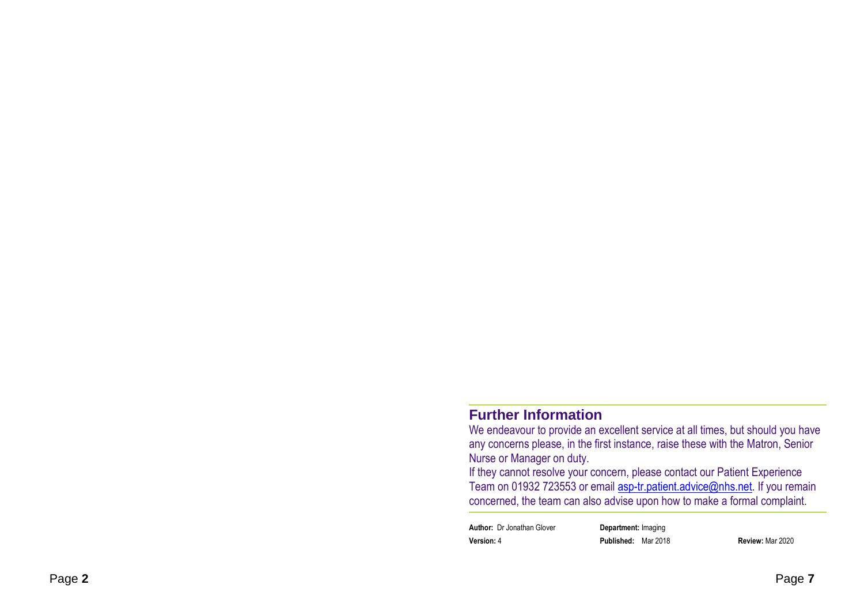#### **Further Information**

 We endeavour to provide an excellent service at all times, but should you have any concerns please, in the first instance, raise these with the Matron, Senior Nurse or Manager on duty.

 If they cannot resolve your concern, please contact our Patient Experience Team on 01932 723553 or email **asp-tr.patient.advice@nhs.net**. If you remain concerned, the team can also advise upon how to make a formal complaint.

**Author:** Dr Jonathan Glover **Department:** Imaging**Version:** 4 **Published:** Mar 2018 **Review:** Mar 2020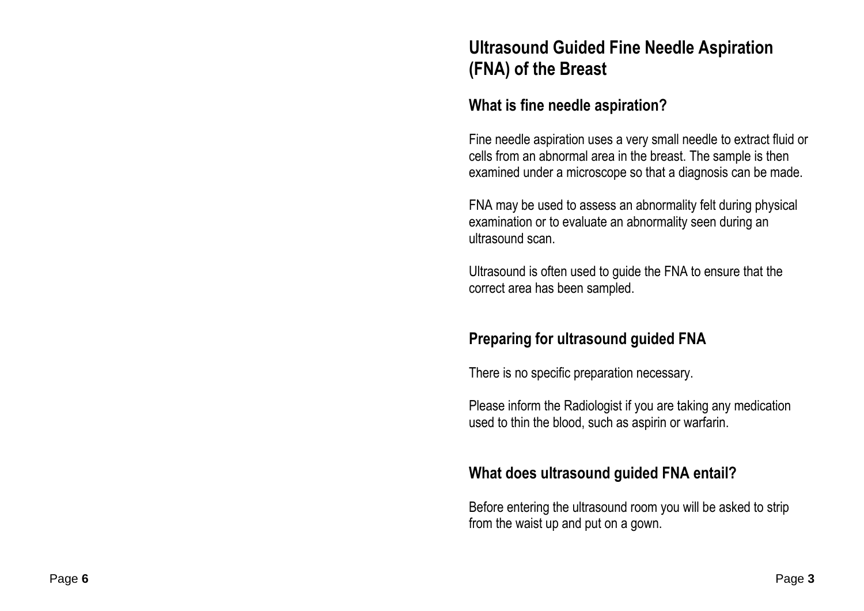### **Ultrasound Guided Fine Needle Aspiration (FNA) of the Breast**

#### **What is fine needle aspiration?**

Fine needle aspiration uses a very small needle to extract fluid or cells from an abnormal area in the breast. The sample is then examined under a microscope so that a diagnosis can be made.

FNA may be used to assess an abnormality felt during physical examination or to evaluate an abnormality seen during an ultrasound scan.

Ultrasound is often used to guide the FNA to ensure that the correct area has been sampled.

#### **Preparing for ultrasound guided FNA**

There is no specific preparation necessary.

Please inform the Radiologist if you are taking any medication used to thin the blood, such as aspirin or warfarin.

#### **What does ultrasound guided FNA entail?**

Before entering the ultrasound room you will be asked to strip from the waist up and put on a gown.